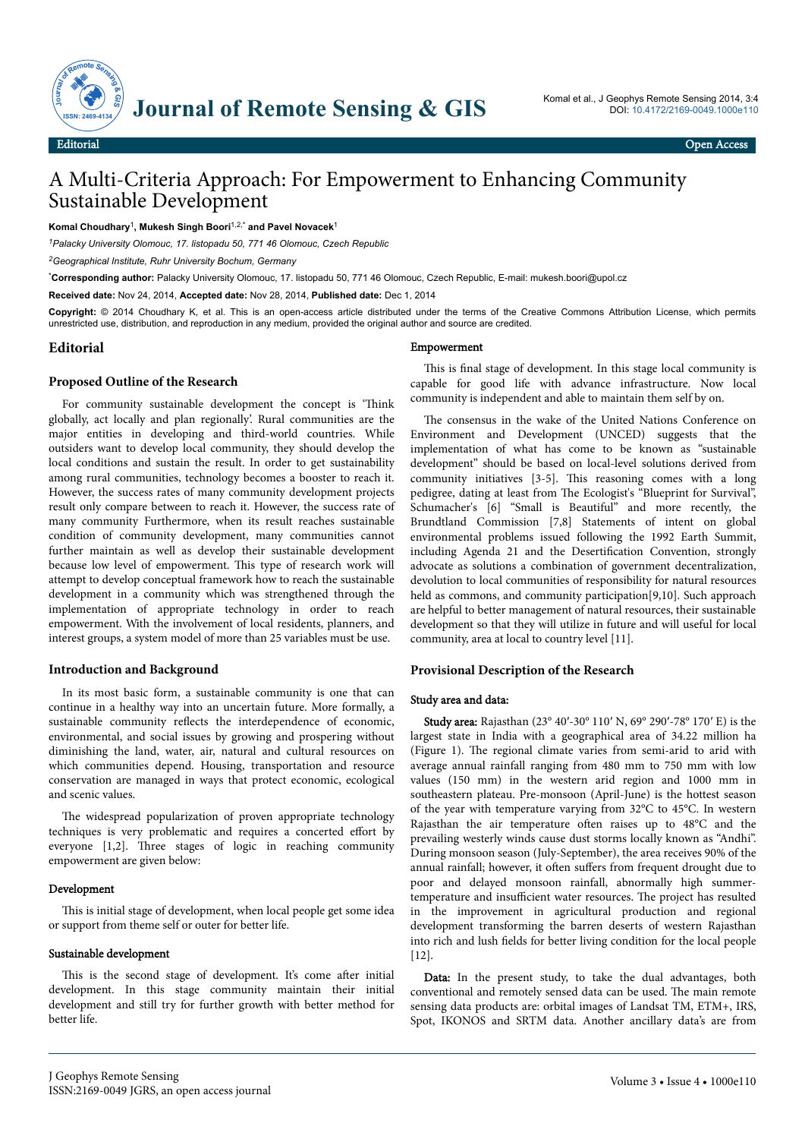

# A Multi-Criteria Approach: For Empowerment to Enhancing Community Sustainable Development

**Komal Choudhary**<sup>1</sup> **, Mukesh Singh Boori**1,2,\* **and Pavel Novacek**<sup>1</sup>

*<sup>1</sup>Palacky University Olomouc, 17. listopadu 50, 771 46 Olomouc, Czech Republic*

*<sup>2</sup>Geographical Institute, Ruhr University Bochum, Germany*

\***Corresponding author:** Palacky University Olomouc, 17. listopadu 50, 771 46 Olomouc, Czech Republic, E-mail: mukesh.boori@upol.cz

**Received date:** Nov 24, 2014, **Accepted date:** Nov 28, 2014, **Published date:** Dec 1, 2014

**Copyright:** © 2014 Choudhary K, et al. This is an open-access article distributed under the terms of the Creative Commons Attribution License, which permits unrestricted use, distribution, and reproduction in any medium, provided the original author and source are credited.

## **Editorial**

#### **Proposed Outline of the Research**

For community sustainable development the concept is 'Think globally, act locally and plan regionally'. Rural communities are the major entities in developing and third-world countries. While outsiders want to develop local community, they should develop the local conditions and sustain the result. In order to get sustainability among rural communities, technology becomes a booster to reach it. However, the success rates of many community development projects result only compare between to reach it. However, the success rate of many community Furthermore, when its result reaches sustainable condition of community development, many communities cannot further maintain as well as develop their sustainable development because low level of empowerment. This type of research work will attempt to develop conceptual framework how to reach the sustainable development in a community which was strengthened through the implementation of appropriate technology in order to reach empowerment. With the involvement of local residents, planners, and interest groups, a system model of more than 25 variables must be use.

#### **Introduction and Background**

In its most basic form, a sustainable community is one that can continue in a healthy way into an uncertain future. More formally, a sustainable community reflects the interdependence of economic, environmental, and social issues by growing and prospering without diminishing the land, water, air, natural and cultural resources on which communities depend. Housing, transportation and resource conservation are managed in ways that protect economic, ecological and scenic values.

The widespread popularization of proven appropriate technology techniques is very problematic and requires a concerted effort by everyone [1,2]. Нree stages of logic in reaching community empowerment are given below:

#### Development

This is initial stage of development, when local people get some idea or support from theme self or outer for better life.

# Sustainable development

This is the second stage of development. It's come after initial development. In this stage community maintain their initial development and still try for further growth with better method for better life.

#### Empowerment

This is final stage of development. In this stage local community is capable for good life with advance infrastructure. Now local community is independent and able to maintain them self by on.

The consensus in the wake of the United Nations Conference on Environment and Development (UNCED) suggests that the implementation of what has come to be known as "sustainable development" should be based on local-level solutions derived from community initiatives  $[3-5]$ . This reasoning comes with a long pedigree, dating at least from Нe Ecologist's "Blueprint for Survival", Schumacher's [6] "Small is Beautiful" and more recently, the Brundtland Commission [7,8] Statements of intent on global environmental problems issued following the 1992 Earth Summit, including Agenda 21 and the Desertification Convention, strongly advocate as solutions a combination of government decentralization, devolution to local communities of responsibility for natural resources held as commons, and community participation[9,10]. Such approach are helpful to better management of natural resources, their sustainable development so that they will utilize in future and will useful for local community, area at local to country level [11].

#### **Provisional Description of the Research**

#### Study area and data:

Study area: Rajasthan (23° 40ʹ-30° 110ʹ N, 69° 290ʹ-78° 170ʹ E) is the largest state in India with a geographical area of 34.22 million ha (Figure 1). Нe regional climate varies from semi-arid to arid with average annual rainfall ranging from 480 mm to 750 mm with low values (150 mm) in the western arid region and 1000 mm in southeastern plateau. Pre-monsoon (April-June) is the hottest season of the year with temperature varying from 32°C to 45°C. In western Rajasthan the air temperature often raises up to 48°C and the prevailing westerly winds cause dust storms locally known as "Andhi". During monsoon season (July-September), the area receives 90% of the annual rainfall; however, it often suffers from frequent drought due to poor and delayed monsoon rainfall, abnormally high summertemperature and insufficient water resources. The project has resulted in the improvement in agricultural production and regional development transforming the barren deserts of western Rajasthan into rich and lush fields for better living condition for the local people [12].

Data: In the present study, to take the dual advantages, both conventional and remotely sensed data can be used. Нe main remote sensing data products are: orbital images of Landsat TM, ETM+, IRS, Spot, IKONOS and SRTM data. Another ancillary data's are from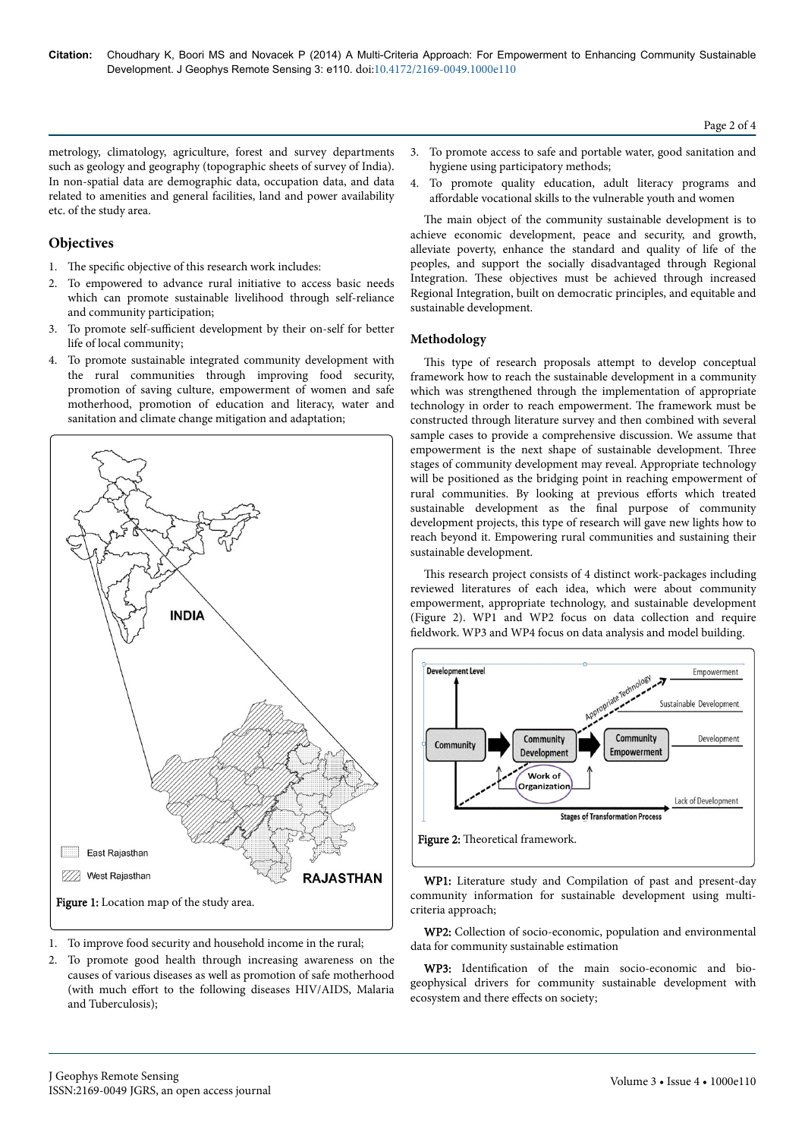Page 2 of 4

metrology, climatology, agriculture, forest and survey departments such as geology and geography (topographic sheets of survey of India). In non-spatial data are demographic data, occupation data, and data related to amenities and general facilities, land and power availability etc. of the study area.

# **Objectives**

- 1. The specific objective of this research work includes:
- 2. To empowered to advance rural initiative to access basic needs which can promote sustainable livelihood through self-reliance and community participation;
- 3. To promote self-sufficient development by their on-self for better life of local community;
- 4. To promote sustainable integrated community development with the rural communities through improving food security, promotion of saving culture, empowerment of women and safe motherhood, promotion of education and literacy, water and sanitation and climate change mitigation and adaptation;



- 1. To improve food security and household income in the rural;
- 2. To promote good health through increasing awareness on the causes of various diseases as well as promotion of safe motherhood (with much effort to the following diseases HIV/AIDS, Malaria and Tuberculosis);
- 3. To promote access to safe and portable water, good sanitation and hygiene using participatory methods;
- 4. To promote quality education, adult literacy programs and affordable vocational skills to the vulnerable youth and women

The main object of the community sustainable development is to achieve economic development, peace and security, and growth, alleviate poverty, enhance the standard and quality of life of the peoples, and support the socially disadvantaged through Regional Integration. Нese objectives must be achieved through increased Regional Integration, built on democratic principles, and equitable and sustainable development.

## **Methodology**

This type of research proposals attempt to develop conceptual framework how to reach the sustainable development in a community which was strengthened through the implementation of appropriate technology in order to reach empowerment. Нe framework must be constructed through literature survey and then combined with several sample cases to provide a comprehensive discussion. We assume that empowerment is the next shape of sustainable development. Нree stages of community development may reveal. Appropriate technology will be positioned as the bridging point in reaching empowerment of rural communities. By looking at previous efforts which treated sustainable development as the final purpose of community development projects, this type of research will gave new lights how to reach beyond it. Empowering rural communities and sustaining their sustainable development.

This research project consists of 4 distinct work-packages including reviewed literatures of each idea, which were about community empowerment, appropriate technology, and sustainable development (Figure 2). WP1 and WP2 focus on data collection and require fieldwork. WP3 and WP4 focus on data analysis and model building.



WP1: Literature study and Compilation of past and present-day community information for sustainable development using multicriteria approach;

WP2: Collection of socio-economic, population and environmental data for community sustainable estimation

WP3: Identification of the main socio-economic and biogeophysical drivers for community sustainable development with ecosystem and there effects on society;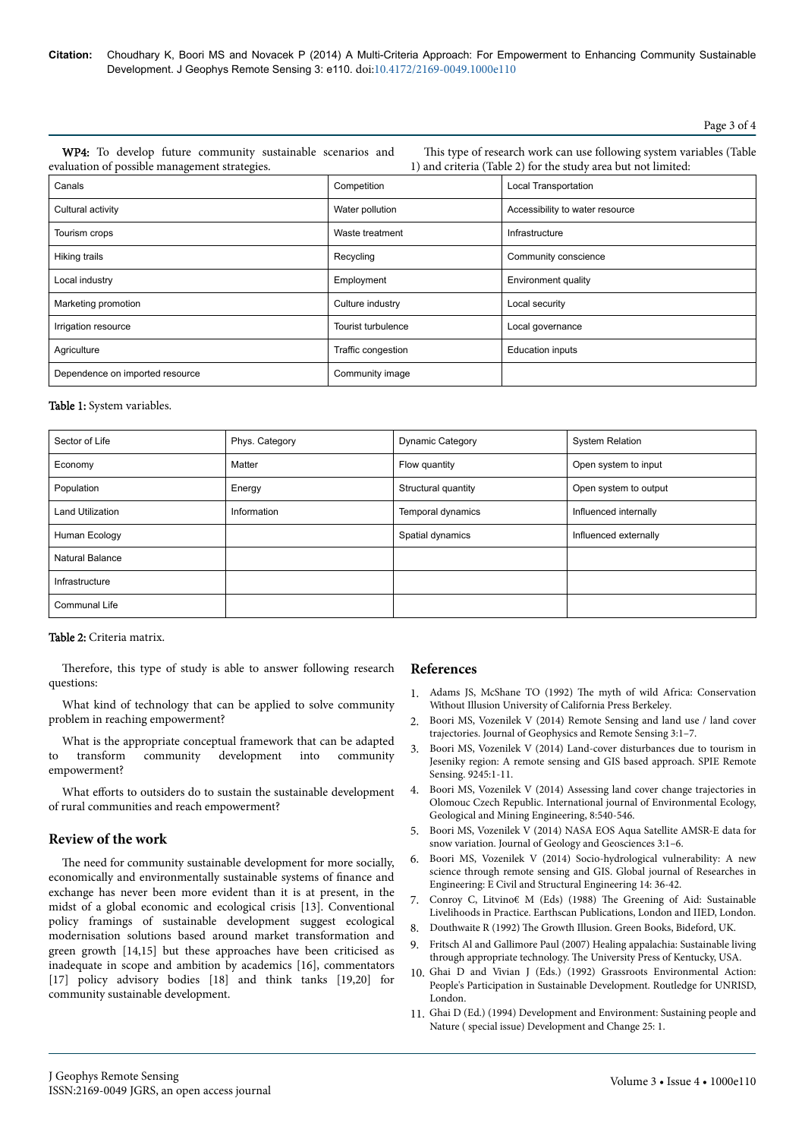**Citation:** Choudhary K, Boori MS and Novacek P (2014) A Multi-Criteria Approach: For Empowerment to Enhancing Community Sustainable Development. J Geophys Remote Sensing 3: e110. doi:10.4172/2169-0049.1000e110

Page 3 of 4

WP4: To develop future community sustainable scenarios and evaluation of possible management strategies.

This type of research work can use following system variables (Table 1) and criteria (Table 2) for the study area but not limited:

| Canals                          | Competition        | Local Transportation            |  |
|---------------------------------|--------------------|---------------------------------|--|
| Cultural activity               | Water pollution    | Accessibility to water resource |  |
| Tourism crops                   | Waste treatment    | Infrastructure                  |  |
| Hiking trails                   | Recycling          | Community conscience            |  |
| Local industry                  | Employment         | Environment quality             |  |
| Marketing promotion             | Culture industry   | Local security                  |  |
| Irrigation resource             | Tourist turbulence | Local governance                |  |
| Agriculture                     | Traffic congestion | <b>Education inputs</b>         |  |
| Dependence on imported resource | Community image    |                                 |  |

## Table 1: System variables.

| Sector of Life          | Phys. Category | <b>Dynamic Category</b> | <b>System Relation</b> |
|-------------------------|----------------|-------------------------|------------------------|
| Economy                 | Matter         | Flow quantity           | Open system to input   |
| Population              | Energy         | Structural quantity     | Open system to output  |
| <b>Land Utilization</b> | Information    | Temporal dynamics       | Influenced internally  |
| Human Ecology           |                | Spatial dynamics        | Influenced externally  |
| Natural Balance         |                |                         |                        |
| Infrastructure          |                |                         |                        |
| <b>Communal Life</b>    |                |                         |                        |

## Table 2: Criteria matrix.

Therefore, this type of study is able to answer following research questions:

What kind of technology that can be applied to solve community problem in reaching empowerment?

What is the appropriate conceptual framework that can be adapted to transform community development into community empowerment?

What efforts to outsiders do to sustain the sustainable development of rural communities and reach empowerment?

## **Review of the work**

The need for community sustainable development for more socially, economically and environmentally sustainable systems of finance and exchange has never been more evident than it is at present, in the midst of a global economic and ecological crisis [13]. Conventional policy framings of sustainable development suggest ecological modernisation solutions based around market transformation and green growth [14,15] but these approaches have been criticised as inadequate in scope and ambition by academics [16], commentators [17] policy advisory bodies [18] and think tanks [19,20] for community sustainable development.

## **References**

- 1. Adams JS, McShane TO (1992) Нe [myth of wild Africa: Conservation](http://books.google.co.in/books/about/The_Myth_of_Wild_Africa.html?id=GWtWDN0BWt0C&redir_esc=y) [Without Illusion University of California Press Berkeley](http://books.google.co.in/books/about/The_Myth_of_Wild_Africa.html?id=GWtWDN0BWt0C&redir_esc=y).
- 2. [Boori MS, Vozenilek V \(2014\) Remote Sensing and land use / land cover](http://omicsgroup.org/journals/remote-sensing-and-land-useland-cover-trajectories-2169-0049.1000123.pdf) [trajectories. Journal of Geophysics and Remote Sensing 3:1–7.](http://omicsgroup.org/journals/remote-sensing-and-land-useland-cover-trajectories-2169-0049.1000123.pdf)
- 3. [Boori MS, Vozenilek V \(2014\) Land-cover disturbances due to tourism in](http://proceedings.spiedigitallibrary.org/proceeding.aspx?articleid=1930833) [Jeseniky region: A remote sensing and GIS based approach. SPIE Remote](http://proceedings.spiedigitallibrary.org/proceeding.aspx?articleid=1930833) [Sensing. 9245:1-11.](http://proceedings.spiedigitallibrary.org/proceeding.aspx?articleid=1930833)
- 4. [Boori MS, Vozenilek V \(2014\) Assessing land cover change trajectories in](http://www.waset.org/publications/9999308) [Olomouc Czech Republic. International journal of Environmental Ecology,](http://www.waset.org/publications/9999308) [Geological and Mining Engineering, 8:540-546.](http://www.waset.org/publications/9999308)
- 5. [Boori MS, Vozenilek V \(2014\) NASA EOS Aqua Satellite AMSR-E data for](http://omicsgroup.org/journals/nasa-eos-aqua-satellite-amsr-e-data-for-snow-variation-2329-6755.100e116.php?aid=28152) [snow variation. Journal of Geology and Geosciences 3:1–6.](http://omicsgroup.org/journals/nasa-eos-aqua-satellite-amsr-e-data-for-snow-variation-2329-6755.100e116.php?aid=28152)
- 6. [Boori MS, Vozenilek V \(2014\) Socio-hydrological vulnerability: A new](http://omicsgroup.org/journals/remote-sensing-and-gis-for-socio-hydrological-vulnerability-2329-6755.1000e115.pdf) [science through remote sensing and GIS. Global journal of Researches in](http://omicsgroup.org/journals/remote-sensing-and-gis-for-socio-hydrological-vulnerability-2329-6755.1000e115.pdf) [Engineering: E Civil and Structural Engineering 14: 36-42.](http://omicsgroup.org/journals/remote-sensing-and-gis-for-socio-hydrological-vulnerability-2329-6755.1000e115.pdf)
- 7. [Conroy C, Litvino€ M \(Eds\) \(1988\)](http://books.google.co.in/books?hl=en&lr=&id=rXn7AQAAQBAJ&oi=fnd&pg=PP1&dq=The+Greening+of+Aid:+Sustainable+Livelihoods+in+Practice&ots=uB51KxCD8c&sig=uXVpJ4B8_Wcgt4ez4Z6rwIGu7IM) Нe Greening of Aid: Sustainable [Livelihoods in Practice. Earthscan Publications, London and IIED, London.](http://books.google.co.in/books?hl=en&lr=&id=rXn7AQAAQBAJ&oi=fnd&pg=PP1&dq=The+Greening+of+Aid:+Sustainable+Livelihoods+in+Practice&ots=uB51KxCD8c&sig=uXVpJ4B8_Wcgt4ez4Z6rwIGu7IM)
- 8. Douthwaite R (1992) The Growth Illusion, Green Books, Bideford, UK.
- 9. [Fritsch Al and Gallimore Paul \(2007\) Healing appalachia: Sustainable living](http://books.google.co.in/books?hl=en&lr=&id=QAa6gK-t0T0C&oi=fnd&pg=PR11&dq=Healing+appalachia:+Sustainable+living+through+appropriate+technology&ots=RcujeM7AnD&sig=76ta8fU5SEs5F4sbMDkKzJZv7lA) through appropriate technology. Нe [University Press of Kentucky, USA.](http://books.google.co.in/books?hl=en&lr=&id=QAa6gK-t0T0C&oi=fnd&pg=PR11&dq=Healing+appalachia:+Sustainable+living+through+appropriate+technology&ots=RcujeM7AnD&sig=76ta8fU5SEs5F4sbMDkKzJZv7lA)
- 10. [Ghai D and Vivian J \(Eds.\) \(1992\) Grassroots Environmental Action:](http://books.google.co.in/books?hl=en&lr=&id=-KGsAgAAQBAJ&oi=fnd&pg=PP1&dq=Grassroots+Environmental+Action:+People%27s+Participation+in+Sustainable+Development.&ots=1nptSnn3_1&sig=5uG6aOEyKM-MYtIlEt54zhvxVhs) [People's Participation in Sustainable Development. Routledge for UNRISD,](http://books.google.co.in/books?hl=en&lr=&id=-KGsAgAAQBAJ&oi=fnd&pg=PP1&dq=Grassroots+Environmental+Action:+People%27s+Participation+in+Sustainable+Development.&ots=1nptSnn3_1&sig=5uG6aOEyKM-MYtIlEt54zhvxVhs) [London.](http://books.google.co.in/books?hl=en&lr=&id=-KGsAgAAQBAJ&oi=fnd&pg=PP1&dq=Grassroots+Environmental+Action:+People%27s+Participation+in+Sustainable+Development.&ots=1nptSnn3_1&sig=5uG6aOEyKM-MYtIlEt54zhvxVhs)
- 11. [Ghai D \(Ed.\) \(1994\) Development and Environment: Sustaining people and](http://www.unrisd.org/80256B3C005BCCF9/(httpPublications)/5815CC4948F60DD680256B670065D239?OpenDocument) [Nature \( special issue\) Development and Change 25: 1.](http://www.unrisd.org/80256B3C005BCCF9/(httpPublications)/5815CC4948F60DD680256B670065D239?OpenDocument)